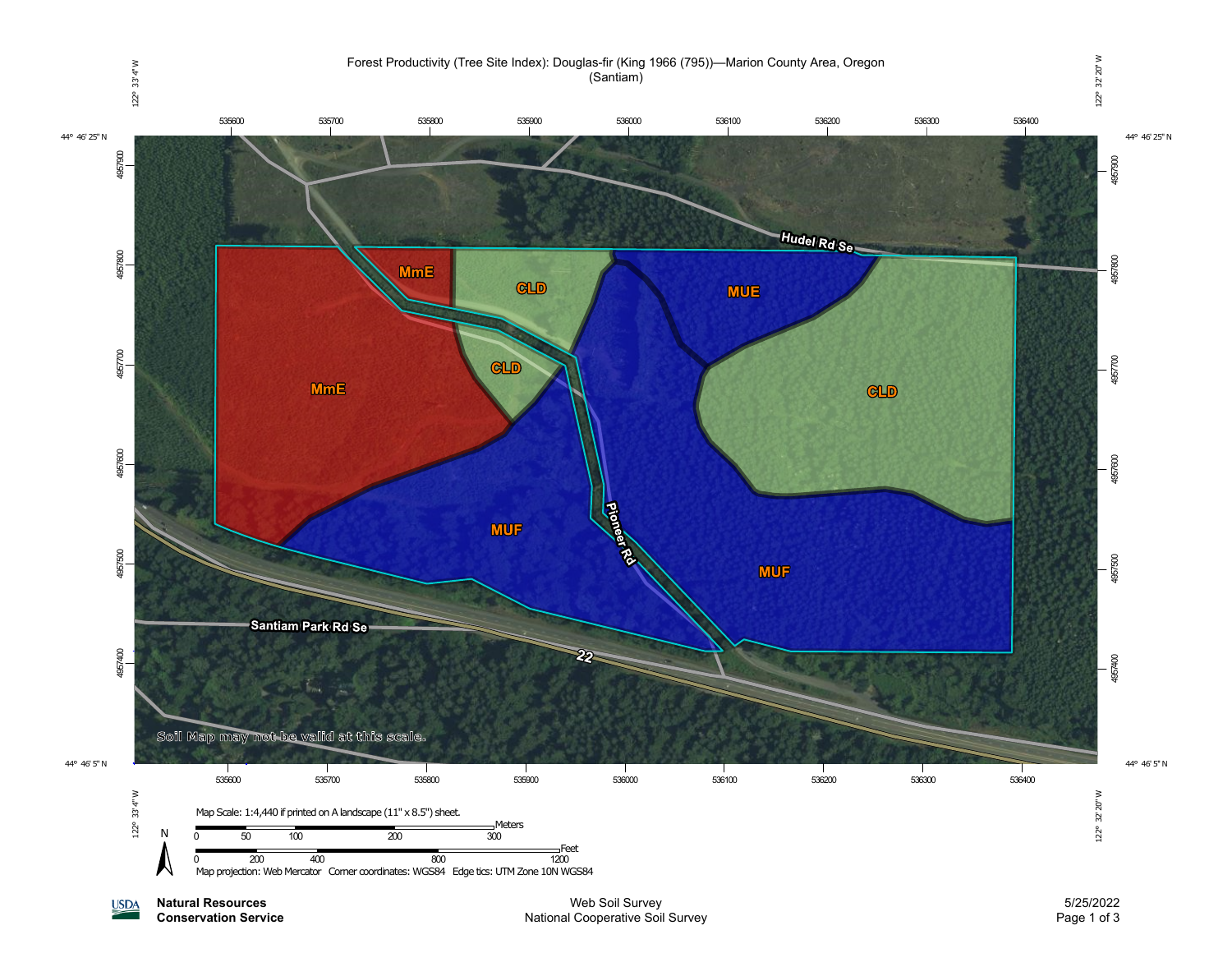

**Natural Resources USDA** 

**Conservation Service**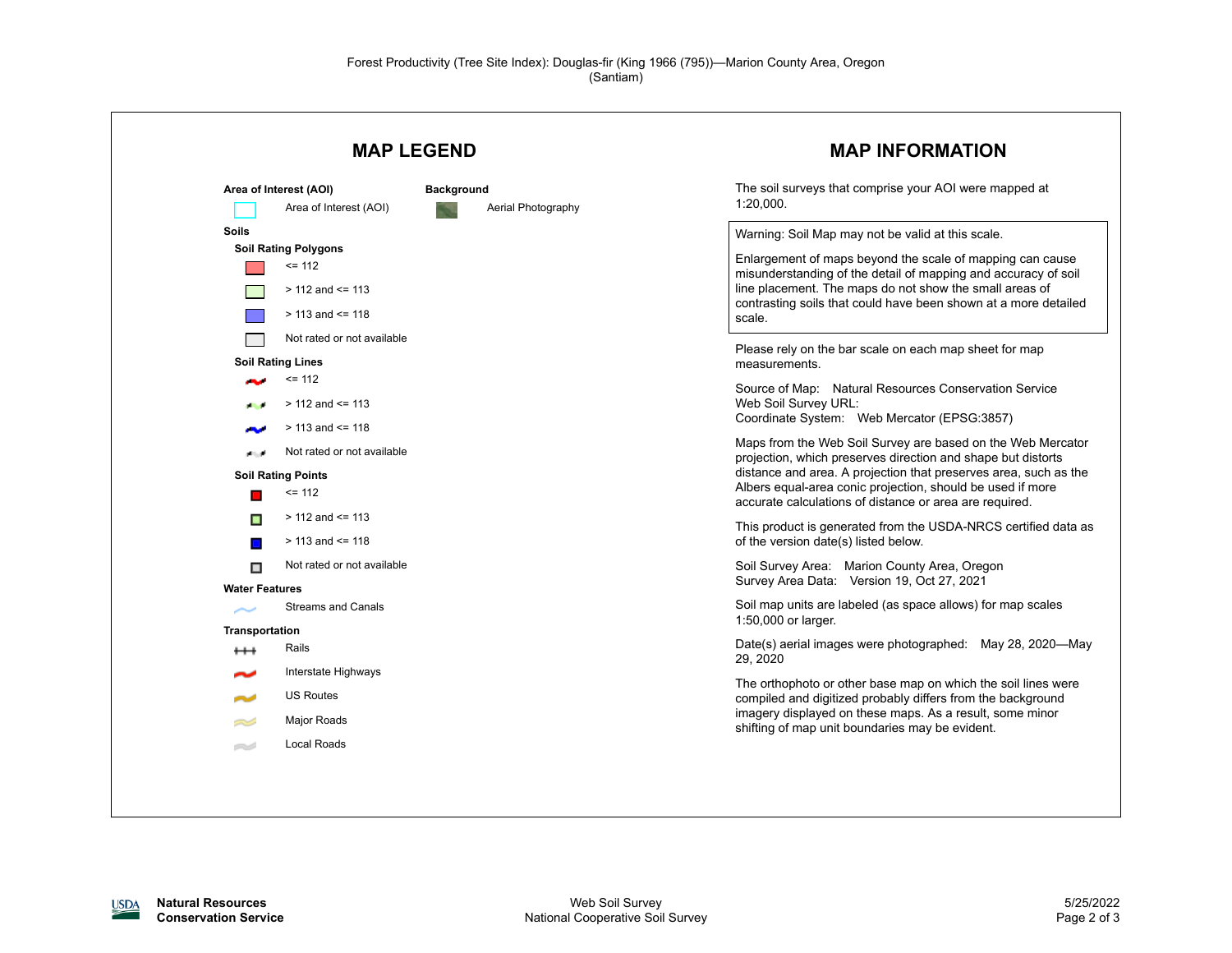